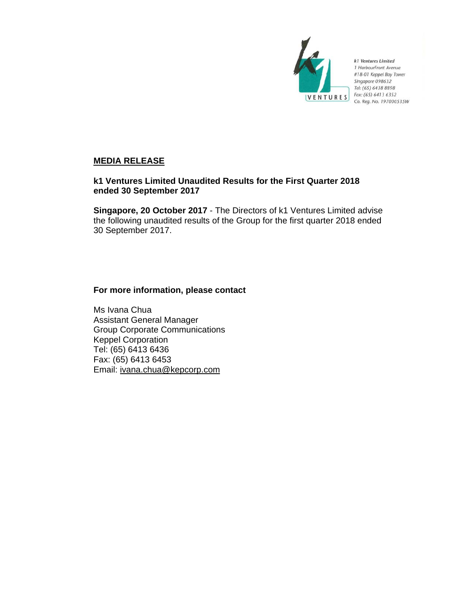

k1 Ventures Limited 1 HarbourFront Avenue #18-01 Keppel Bay Tower Singapore 098632 Tel: (65) 6438 8898 Fax: (65) 6413 6352 Co. Reg. No. 197000535W

## **MEDIA RELEASE**

## **k1 Ventures Limited Unaudited Results for the First Quarter 2018 ended 30 September 2017**

**Singapore, 20 October 2017** - The Directors of k1 Ventures Limited advise the following unaudited results of the Group for the first quarter 2018 ended 30 September 2017.

## **For more information, please contact**

Ms Ivana Chua Assistant General Manager Group Corporate Communications Keppel Corporation Tel: (65) 6413 6436 Fax: (65) 6413 6453 Email: ivana.chua@kepcorp.com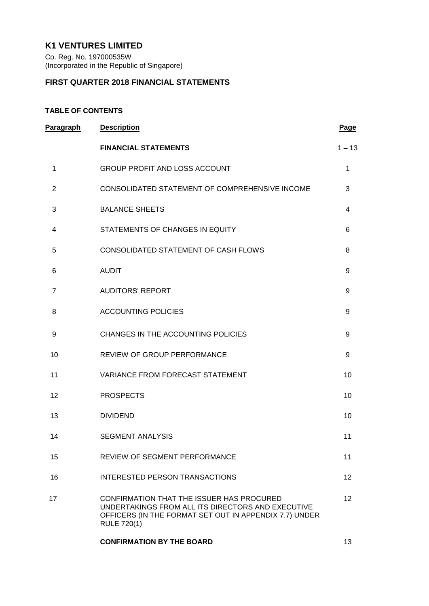# **K1 VENTURES LIMITED**

Co. Reg. No. 197000535W (Incorporated in the Republic of Singapore)

## **FIRST QUARTER 2018 FINANCIAL STATEMENTS**

## **TABLE OF CONTENTS**

| Paragraph      | <b>Description</b>                                                                                                                                                             | <b>Page</b>     |
|----------------|--------------------------------------------------------------------------------------------------------------------------------------------------------------------------------|-----------------|
|                | <b>FINANCIAL STATEMENTS</b>                                                                                                                                                    | $1 - 13$        |
| 1              | <b>GROUP PROFIT AND LOSS ACCOUNT</b>                                                                                                                                           | $\mathbf{1}$    |
| $\overline{2}$ | CONSOLIDATED STATEMENT OF COMPREHENSIVE INCOME                                                                                                                                 | 3               |
| 3              | <b>BALANCE SHEETS</b>                                                                                                                                                          | 4               |
| 4              | STATEMENTS OF CHANGES IN EQUITY                                                                                                                                                | 6               |
| 5              | CONSOLIDATED STATEMENT OF CASH FLOWS                                                                                                                                           | 8               |
| 6              | <b>AUDIT</b>                                                                                                                                                                   | 9               |
| $\overline{7}$ | <b>AUDITORS' REPORT</b>                                                                                                                                                        | 9               |
| 8              | <b>ACCOUNTING POLICIES</b>                                                                                                                                                     | 9               |
| 9              | CHANGES IN THE ACCOUNTING POLICIES                                                                                                                                             | 9               |
| 10             | REVIEW OF GROUP PERFORMANCE                                                                                                                                                    | 9               |
| 11             | VARIANCE FROM FORECAST STATEMENT                                                                                                                                               | 10              |
| 12             | <b>PROSPECTS</b>                                                                                                                                                               | 10              |
| 13             | <b>DIVIDEND</b>                                                                                                                                                                | 10              |
| 14             | <b>SEGMENT ANALYSIS</b>                                                                                                                                                        | 11              |
| 15             | <b>REVIEW OF SEGMENT PERFORMANCE</b>                                                                                                                                           | 11              |
| 16             | <b>INTERESTED PERSON TRANSACTIONS</b>                                                                                                                                          | 12 <sup>2</sup> |
| 17             | CONFIRMATION THAT THE ISSUER HAS PROCURED<br>UNDERTAKINGS FROM ALL ITS DIRECTORS AND EXECUTIVE<br>OFFICERS (IN THE FORMAT SET OUT IN APPENDIX 7.7) UNDER<br><b>RULE 720(1)</b> | 12 <sup>2</sup> |
|                | <b>CONFIRMATION BY THE BOARD</b>                                                                                                                                               | 13              |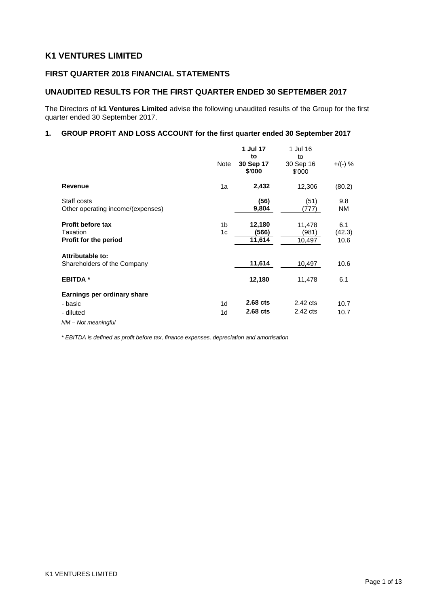# **K1 VENTURES LIMITED**

## **FIRST QUARTER 2018 FINANCIAL STATEMENTS**

## **UNAUDITED RESULTS FOR THE FIRST QUARTER ENDED 30 SEPTEMBER 2017**

The Directors of **k1 Ventures Limited** advise the following unaudited results of the Group for the first quarter ended 30 September 2017.

## **1. GROUP PROFIT AND LOSS ACCOUNT for the first quarter ended 30 September 2017**

|                                                               |                      | 1 Jul 17<br>to            | 1 Jul 16<br>to            |                       |
|---------------------------------------------------------------|----------------------|---------------------------|---------------------------|-----------------------|
|                                                               | Note                 | 30 Sep 17<br>\$'000       | 30 Sep 16<br>\$'000       | $+$ /(-) %            |
| <b>Revenue</b>                                                | 1a                   | 2,432                     | 12,306                    | (80.2)                |
| Staff costs<br>Other operating income/(expenses)              |                      | (56)<br>9,804             | (51)<br>(777)             | 9.8<br>ΝM             |
| <b>Profit before tax</b><br>Taxation<br>Profit for the period | 1 <sub>b</sub><br>1c | 12,180<br>(566)<br>11,614 | 11,478<br>(981)<br>10,497 | 6.1<br>(42.3)<br>10.6 |
| Attributable to:<br>Shareholders of the Company               |                      | 11,614                    | 10,497                    | 10.6                  |
| <b>EBITDA</b> *                                               |                      | 12,180                    | 11,478                    | 6.1                   |
| Earnings per ordinary share                                   |                      |                           |                           |                       |
| - basic                                                       | 1 <sub>d</sub>       | 2.68 cts                  | 2.42 cts                  | 10.7                  |
| - diluted<br>NM-Not meaningful                                | 1d                   | 2.68 cts                  | 2.42 cts                  | 10.7                  |

*\* EBITDA is defined as profit before tax, finance expenses, depreciation and amortisation*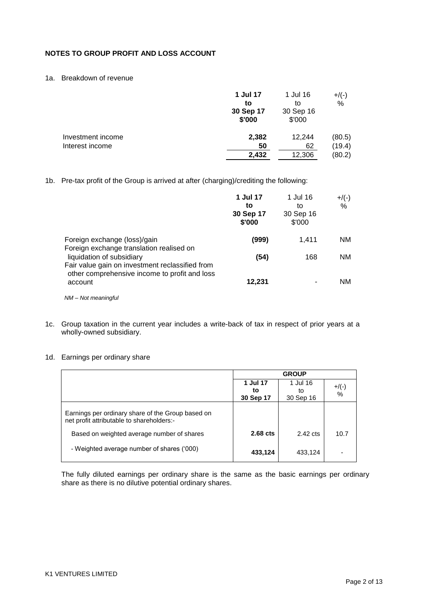## **NOTES TO GROUP PROFIT AND LOSS ACCOUNT**

#### 1a. Breakdown of revenue

|                   | 1 Jul 17<br>to<br>30 Sep 17<br>\$'000 | 1 Jul 16<br>to<br>30 Sep 16<br>\$'000 | $+$ /(-)<br>% |
|-------------------|---------------------------------------|---------------------------------------|---------------|
| Investment income | 2,382                                 | 12,244                                | (80.5)        |
| Interest income   | 50                                    | 62                                    | (19.4)        |
|                   | 2,432                                 | 12,306                                | (80.2)        |

1b. Pre-tax profit of the Group is arrived at after (charging)/crediting the following:

|                                                                                                                                                                           | 1 Jul 17<br>to<br>30 Sep 17<br>\$'000 | 1 Jul 16<br>to<br>30 Sep 16<br>\$'000 | $+$ /(-)<br>$\%$ |
|---------------------------------------------------------------------------------------------------------------------------------------------------------------------------|---------------------------------------|---------------------------------------|------------------|
| Foreign exchange (loss)/gain                                                                                                                                              | (999)                                 | 1,411                                 | <b>NM</b>        |
| Foreign exchange translation realised on<br>liquidation of subsidiary<br>Fair value gain on investment reclassified from<br>other comprehensive income to profit and loss | (54)                                  | 168                                   | <b>NM</b>        |
| account                                                                                                                                                                   | 12,231                                |                                       | <b>NM</b>        |
| $NM - Not meaningful$                                                                                                                                                     |                                       |                                       |                  |

1c. Group taxation in the current year includes a write-back of tax in respect of prior years at a wholly-owned subsidiary.

#### 1d. Earnings per ordinary share

|                                                                                                | <b>GROUP</b>                |                             |               |
|------------------------------------------------------------------------------------------------|-----------------------------|-----------------------------|---------------|
|                                                                                                | 1 Jul 17<br>to<br>30 Sep 17 | 1 Jul 16<br>to<br>30 Sep 16 | $+$ /(-)<br>% |
| Earnings per ordinary share of the Group based on<br>net profit attributable to shareholders:- |                             |                             |               |
| Based on weighted average number of shares                                                     | $2.68$ cts                  | $2.42 \text{ cts}$          | 10.7          |
| - Weighted average number of shares ('000)                                                     | 433,124                     | 433,124                     |               |

The fully diluted earnings per ordinary share is the same as the basic earnings per ordinary share as there is no dilutive potential ordinary shares.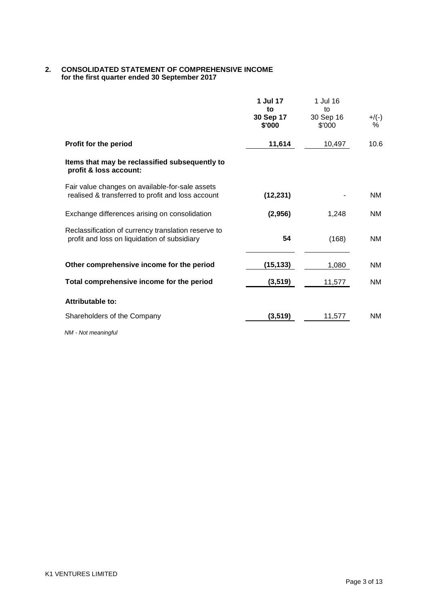#### **2. CONSOLIDATED STATEMENT OF COMPREHENSIVE INCOME for the first quarter ended 30 September 2017**

|                                                                                                      | 1 Jul 17<br>to<br>30 Sep 17 | 1 Jul 16<br>to<br>30 Sep 16 | $+/(-)$   |
|------------------------------------------------------------------------------------------------------|-----------------------------|-----------------------------|-----------|
|                                                                                                      | \$'000                      | \$'000                      | %         |
| Profit for the period                                                                                | 11,614                      | 10,497                      | 10.6      |
| Items that may be reclassified subsequently to<br>profit & loss account:                             |                             |                             |           |
| Fair value changes on available-for-sale assets<br>realised & transferred to profit and loss account | (12, 231)                   |                             | NM        |
| Exchange differences arising on consolidation                                                        | (2,956)                     | 1,248                       | NM        |
| Reclassification of currency translation reserve to<br>profit and loss on liquidation of subsidiary  | 54                          | (168)                       | NM        |
| Other comprehensive income for the period                                                            | (15, 133)                   | 1,080                       | NM.       |
| Total comprehensive income for the period                                                            | (3, 519)                    | 11,577                      | NM        |
| Attributable to:                                                                                     |                             |                             |           |
| Shareholders of the Company                                                                          | (3, 519)                    | 11,577                      | <b>NM</b> |

*NM - Not meaningful*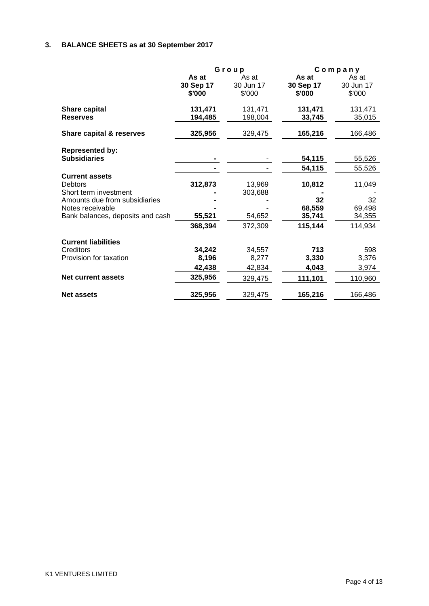# **3. BALANCE SHEETS as at 30 September 2017**

|                                                                                                                                                           |                                      | Group                                  | Company                                     |                                             |
|-----------------------------------------------------------------------------------------------------------------------------------------------------------|--------------------------------------|----------------------------------------|---------------------------------------------|---------------------------------------------|
|                                                                                                                                                           | As at<br>30 Sep 17<br>\$'000         | As at<br>30 Jun 17<br>\$'000           | As at<br>30 Sep 17<br>\$'000                | As at<br>30 Jun 17<br>\$'000                |
| <b>Share capital</b><br><b>Reserves</b>                                                                                                                   | 131,471<br>194,485                   | 131,471<br>198,004                     | 131,471<br>33,745                           | 131,471<br>35,015                           |
| Share capital & reserves                                                                                                                                  | 325,956                              | 329,475                                | 165,216                                     | 166,486                                     |
| <b>Represented by:</b><br><b>Subsidiaries</b>                                                                                                             |                                      |                                        | 54,115<br>54,115                            | 55,526<br>55,526                            |
| <b>Current assets</b><br><b>Debtors</b><br>Short term investment<br>Amounts due from subsidiaries<br>Notes receivable<br>Bank balances, deposits and cash | 312,873<br>55,521<br>368,394         | 13,969<br>303,688<br>54,652<br>372,309 | 10,812<br>32<br>68,559<br>35,741<br>115,144 | 11,049<br>32<br>69,498<br>34,355<br>114,934 |
| <b>Current liabilities</b><br>Creditors<br>Provision for taxation<br><b>Net current assets</b>                                                            | 34,242<br>8,196<br>42,438<br>325,956 | 34,557<br>8,277<br>42,834<br>329,475   | 713<br>3,330<br>4,043<br>111,101            | 598<br>3,376<br>3,974<br>110,960            |
| <b>Net assets</b>                                                                                                                                         | 325,956                              | 329,475                                | 165,216                                     | 166,486                                     |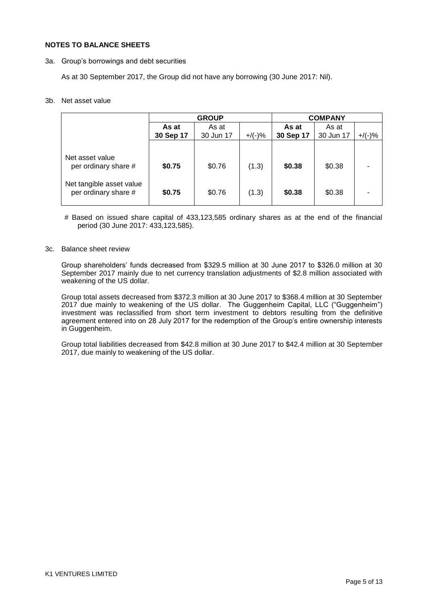#### **NOTES TO BALANCE SHEETS**

3a. Group"s borrowings and debt securities

As at 30 September 2017, the Group did not have any borrowing (30 June 2017: Nil).

#### 3b. Net asset value

|                                                  | <b>GROUP</b> |           |           |           | <b>COMPANY</b> |           |
|--------------------------------------------------|--------------|-----------|-----------|-----------|----------------|-----------|
|                                                  | As at        | As at     |           | As at     | As at          |           |
|                                                  | 30 Sep 17    | 30 Jun 17 | $+$ /(-)% | 30 Sep 17 | 30 Jun 17      | $+$ /(-)% |
|                                                  |              |           |           |           |                |           |
| Net asset value<br>per ordinary share #          | \$0.75       | \$0.76    | (1.3)     | \$0.38    | \$0.38         |           |
| Net tangible asset value<br>per ordinary share # | \$0.75       | \$0.76    | (1.3)     | \$0.38    | \$0.38         |           |

# Based on issued share capital of 433,123,585 ordinary shares as at the end of the financial period (30 June 2017: 433,123,585).

#### 3c. Balance sheet review

Group shareholders" funds decreased from \$329.5 million at 30 June 2017 to \$326.0 million at 30 September 2017 mainly due to net currency translation adjustments of \$2.8 million associated with weakening of the US dollar.

Group total assets decreased from \$372.3 million at 30 June 2017 to \$368.4 million at 30 September 2017 due mainly to weakening of the US dollar. The Guggenheim Capital, LLC ("Guggenheim") investment was reclassified from short term investment to debtors resulting from the definitive agreement entered into on 28 July 2017 for the redemption of the Group"s entire ownership interests in Guggenheim.

Group total liabilities decreased from \$42.8 million at 30 June 2017 to \$42.4 million at 30 September 2017, due mainly to weakening of the US dollar.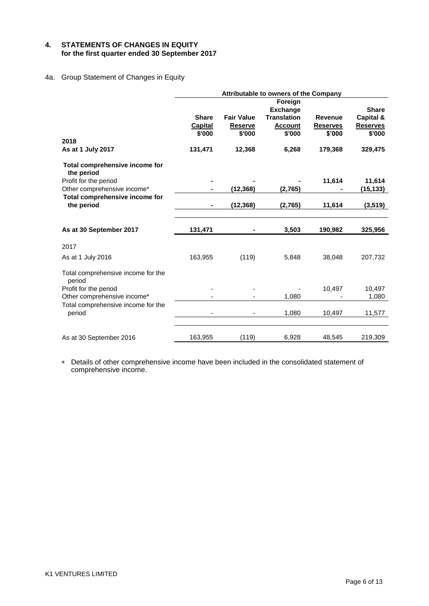### **4. STATEMENTS OF CHANGES IN EQUITY for the first quarter ended 30 September 2017**

## 4a. Group Statement of Changes in Equity

|                                              |                         |                                     | Attributable to owners of the Company |                                   |                              |
|----------------------------------------------|-------------------------|-------------------------------------|---------------------------------------|-----------------------------------|------------------------------|
|                                              |                         |                                     | Foreign                               |                                   |                              |
|                                              |                         |                                     | <b>Exchange</b>                       |                                   | <b>Share</b>                 |
|                                              | <b>Share</b><br>Capital | <b>Fair Value</b><br><b>Reserve</b> | <b>Translation</b><br><b>Account</b>  | <b>Revenue</b><br><b>Reserves</b> | Capital &<br><b>Reserves</b> |
|                                              | \$'000                  | \$'000                              | \$'000                                | \$'000                            | \$'000                       |
| 2018                                         |                         |                                     |                                       |                                   |                              |
| As at 1 July 2017                            | 131,471                 | 12,368                              | 6,268                                 | 179,368                           | 329,475                      |
| Total comprehensive income for<br>the period |                         |                                     |                                       |                                   |                              |
| Profit for the period                        |                         |                                     |                                       | 11,614                            | 11,614                       |
| Other comprehensive income*                  |                         | (12, 368)                           | (2,765)                               |                                   | (15, 133)                    |
| Total comprehensive income for<br>the period | -                       | (12, 368)                           | (2,765)                               | 11,614                            | (3,519)                      |
|                                              |                         |                                     |                                       |                                   |                              |
|                                              |                         |                                     |                                       |                                   |                              |
| As at 30 September 2017                      | 131,471                 |                                     | 3,503                                 | 190,982                           | 325,956                      |
| 2017                                         |                         |                                     |                                       |                                   |                              |
| As at 1 July 2016                            | 163,955                 | (119)                               | 5,848                                 | 38,048                            | 207,732                      |
| Total comprehensive income for the<br>period |                         |                                     |                                       |                                   |                              |
| Profit for the period                        |                         |                                     |                                       | 10,497                            | 10,497                       |
| Other comprehensive income*                  |                         |                                     | 1,080                                 |                                   | 1,080                        |
| Total comprehensive income for the<br>period |                         |                                     | 1,080                                 | 10,497                            | 11,577                       |
|                                              |                         |                                     |                                       |                                   |                              |
| As at 30 September 2016                      | 163,955                 | (119)                               | 6,928                                 | 48,545                            | 219,309                      |

 Details of other comprehensive income have been included in the consolidated statement of comprehensive income.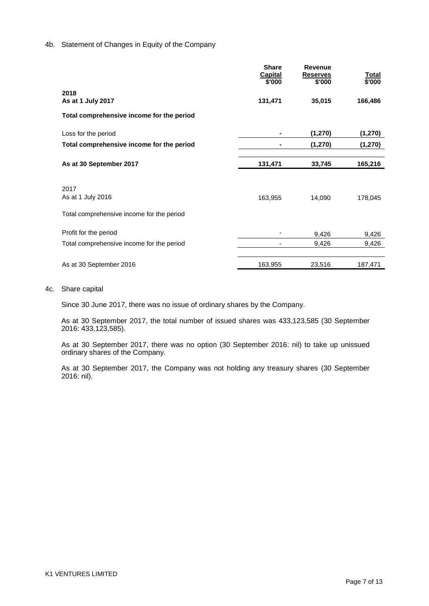#### 4b. Statement of Changes in Equity of the Company

|                                           | <b>Share</b><br><b>Capital</b><br>\$'000 | <b>Revenue</b><br><b>Reserves</b><br>\$'000 | <u>Total</u><br>\$'000 |
|-------------------------------------------|------------------------------------------|---------------------------------------------|------------------------|
| 2018<br>As at 1 July 2017                 | 131,471                                  | 35,015                                      | 166,486                |
| Total comprehensive income for the period |                                          |                                             |                        |
| Loss for the period                       |                                          | (1,270)                                     | (1, 270)               |
| Total comprehensive income for the period |                                          | (1, 270)                                    | (1, 270)               |
| As at 30 September 2017                   | 131,471                                  | 33,745                                      | 165,216                |
| 2017<br>As at 1 July 2016                 | 163,955                                  | 14,090                                      | 178,045                |
| Total comprehensive income for the period |                                          |                                             |                        |
| Profit for the period                     |                                          | 9,426                                       | 9,426                  |
| Total comprehensive income for the period |                                          | 9,426                                       | 9,426                  |
| As at 30 September 2016                   | 163,955                                  | 23,516                                      | 187,471                |

4c. Share capital

Since 30 June 2017, there was no issue of ordinary shares by the Company.

As at 30 September 2017, the total number of issued shares was 433,123,585 (30 September 2016: 433,123,585).

As at 30 September 2017, there was no option (30 September 2016: nil) to take up unissued ordinary shares of the Company.

As at 30 September 2017, the Company was not holding any treasury shares (30 September 2016: nil).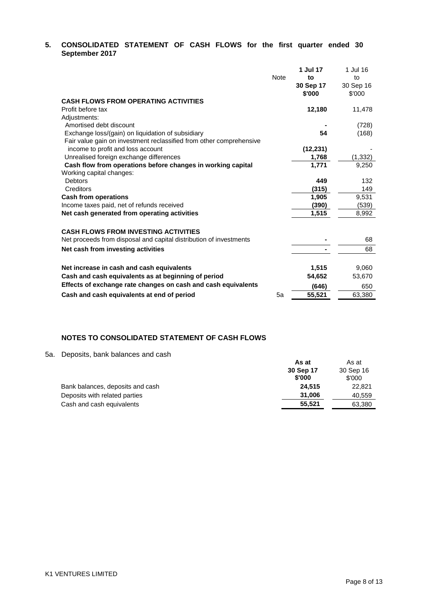## **5. CONSOLIDATED STATEMENT OF CASH FLOWS for the first quarter ended 30 September 2017**

|                                                                     |             | 1 Jul 17  | 1 Jul 16  |
|---------------------------------------------------------------------|-------------|-----------|-----------|
|                                                                     | <b>Note</b> | to        | to        |
|                                                                     |             | 30 Sep 17 | 30 Sep 16 |
|                                                                     |             | \$'000    | \$'000    |
| <b>CASH FLOWS FROM OPERATING ACTIVITIES</b>                         |             |           |           |
| Profit before tax                                                   |             | 12,180    | 11,478    |
| Adjustments:                                                        |             |           |           |
| Amortised debt discount                                             |             |           | (728)     |
| Exchange loss/(gain) on liquidation of subsidiary                   |             | 54        | (168)     |
| Fair value gain on investment reclassified from other comprehensive |             |           |           |
| income to profit and loss account                                   |             | (12, 231) |           |
| Unrealised foreign exchange differences                             |             | 1,768     | (1, 332)  |
| Cash flow from operations before changes in working capital         |             | 1,771     | 9,250     |
| Working capital changes:                                            |             |           |           |
| <b>Debtors</b>                                                      |             | 449       | 132       |
| Creditors                                                           |             | (315)     | 149       |
| <b>Cash from operations</b>                                         |             | 1,905     | 9,531     |
| Income taxes paid, net of refunds received                          |             | (390)     | (539)     |
| Net cash generated from operating activities                        |             | 1,515     | 8,992     |
|                                                                     |             |           |           |
| <b>CASH FLOWS FROM INVESTING ACTIVITIES</b>                         |             |           |           |
| Net proceeds from disposal and capital distribution of investments  |             |           | 68        |
| Net cash from investing activities                                  |             |           | 68        |
|                                                                     |             |           |           |
| Net increase in cash and cash equivalents                           |             | 1,515     | 9,060     |
| Cash and cash equivalents as at beginning of period                 |             | 54,652    | 53,670    |
| Effects of exchange rate changes on cash and cash equivalents       |             | (646)     | 650       |
| Cash and cash equivalents at end of period                          | 5a          | 55,521    | 63,380    |
|                                                                     |             |           |           |

## **NOTES TO CONSOLIDATED STATEMENT OF CASH FLOWS**

#### 5a. Deposits, bank balances and cash

|                                  | As at     | As at     |
|----------------------------------|-----------|-----------|
|                                  | 30 Sep 17 | 30 Sep 16 |
|                                  | \$'000    | \$'000    |
| Bank balances, deposits and cash | 24.515    | 22,821    |
| Deposits with related parties    | 31.006    | 40,559    |
| Cash and cash equivalents        | 55.521    | 63,380    |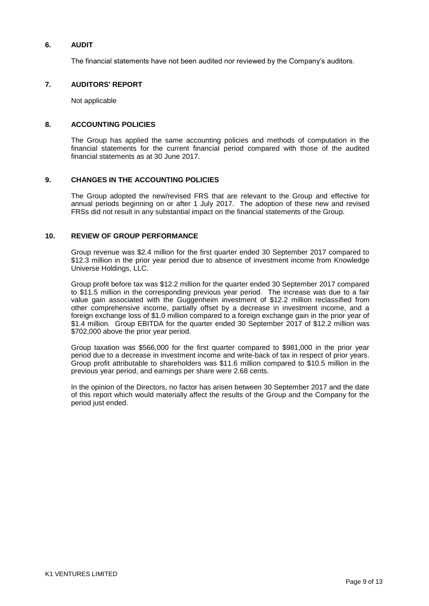### **6. AUDIT**

The financial statements have not been audited nor reviewed by the Company"s auditors.

#### **7. AUDITORS' REPORT**

Not applicable

#### **8. ACCOUNTING POLICIES**

The Group has applied the same accounting policies and methods of computation in the financial statements for the current financial period compared with those of the audited financial statements as at 30 June 2017.

#### **9. CHANGES IN THE ACCOUNTING POLICIES**

The Group adopted the new/revised FRS that are relevant to the Group and effective for annual periods beginning on or after 1 July 2017. The adoption of these new and revised FRSs did not result in any substantial impact on the financial statements of the Group.

#### **10. REVIEW OF GROUP PERFORMANCE**

Group revenue was \$2.4 million for the first quarter ended 30 September 2017 compared to \$12.3 million in the prior year period due to absence of investment income from Knowledge Universe Holdings, LLC.

Group profit before tax was \$12.2 million for the quarter ended 30 September 2017 compared to \$11.5 million in the corresponding previous year period. The increase was due to a fair value gain associated with the Guggenheim investment of \$12.2 million reclassified from other comprehensive income, partially offset by a decrease in investment income, and a foreign exchange loss of \$1.0 million compared to a foreign exchange gain in the prior year of \$1.4 million. Group EBITDA for the quarter ended 30 September 2017 of \$12.2 million was \$702,000 above the prior year period.

Group taxation was \$566,000 for the first quarter compared to \$981,000 in the prior year period due to a decrease in investment income and write-back of tax in respect of prior years. Group profit attributable to shareholders was \$11.6 million compared to \$10.5 million in the previous year period, and earnings per share were 2.68 cents.

In the opinion of the Directors, no factor has arisen between 30 September 2017 and the date of this report which would materially affect the results of the Group and the Company for the period just ended.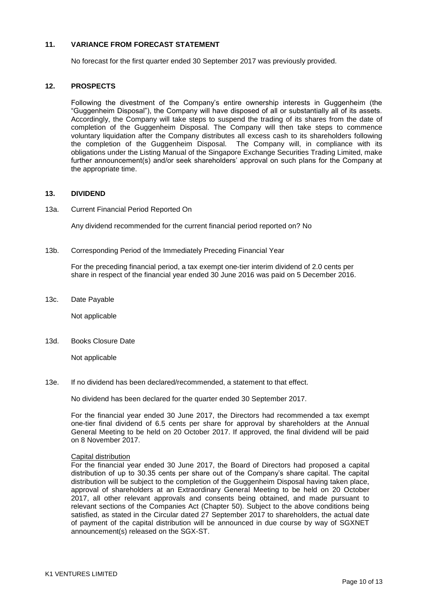#### **11. VARIANCE FROM FORECAST STATEMENT**

No forecast for the first quarter ended 30 September 2017 was previously provided.

#### **12. PROSPECTS**

Following the divestment of the Company"s entire ownership interests in Guggenheim (the "Guggenheim Disposal"), the Company will have disposed of all or substantially all of its assets. Accordingly, the Company will take steps to suspend the trading of its shares from the date of completion of the Guggenheim Disposal. The Company will then take steps to commence voluntary liquidation after the Company distributes all excess cash to its shareholders following the completion of the Guggenheim Disposal. The Company will, in compliance with its obligations under the Listing Manual of the Singapore Exchange Securities Trading Limited, make further announcement(s) and/or seek shareholders" approval on such plans for the Company at the appropriate time.

#### **13. DIVIDEND**

13a. Current Financial Period Reported On

Any dividend recommended for the current financial period reported on? No

13b. Corresponding Period of the Immediately Preceding Financial Year

For the preceding financial period, a tax exempt one-tier interim dividend of 2.0 cents per share in respect of the financial year ended 30 June 2016 was paid on 5 December 2016.

13c. Date Payable

Not applicable

13d. Books Closure Date

Not applicable

13e. If no dividend has been declared/recommended, a statement to that effect.

No dividend has been declared for the quarter ended 30 September 2017.

For the financial year ended 30 June 2017, the Directors had recommended a tax exempt one-tier final dividend of 6.5 cents per share for approval by shareholders at the Annual General Meeting to be held on 20 October 2017. If approved, the final dividend will be paid on 8 November 2017.

#### Capital distribution

For the financial year ended 30 June 2017, the Board of Directors had proposed a capital distribution of up to 30.35 cents per share out of the Company"s share capital. The capital distribution will be subject to the completion of the Guggenheim Disposal having taken place, approval of shareholders at an Extraordinary General Meeting to be held on 20 October 2017, all other relevant approvals and consents being obtained, and made pursuant to relevant sections of the Companies Act (Chapter 50). Subject to the above conditions being satisfied, as stated in the Circular dated 27 September 2017 to shareholders, the actual date of payment of the capital distribution will be announced in due course by way of SGXNET announcement(s) released on the SGX-ST.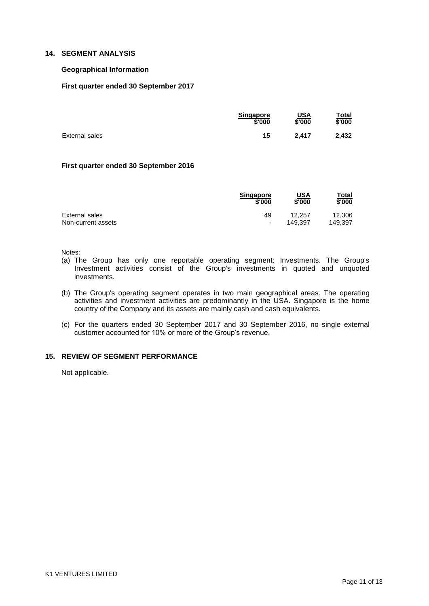#### **14. SEGMENT ANALYSIS**

#### **Geographical Information**

#### **First quarter ended 30 September 2017**

|                | <b>Singapore</b> | <u>USA</u> | <u>Total</u> |
|----------------|------------------|------------|--------------|
|                | \$'000           | \$'000     | \$'000       |
| External sales | 15               | 2.417      | 2.432        |

#### **First quarter ended 30 September 2016**

|                    | <b>Singapore</b>         | USA     | Total   |
|--------------------|--------------------------|---------|---------|
|                    | \$'000                   | \$'000  | \$'000  |
| External sales     | 49                       | 12.257  | 12,306  |
| Non-current assets | $\overline{\phantom{0}}$ | 149.397 | 149.397 |

Notes:

- (a) The Group has only one reportable operating segment: Investments. The Group's Investment activities consist of the Group's investments in quoted and unquoted investments.
- (b) The Group's operating segment operates in two main geographical areas. The operating activities and investment activities are predominantly in the USA. Singapore is the home country of the Company and its assets are mainly cash and cash equivalents.
- (c) For the quarters ended 30 September 2017 and 30 September 2016, no single external customer accounted for 10% or more of the Group"s revenue.

## **15. REVIEW OF SEGMENT PERFORMANCE**

Not applicable.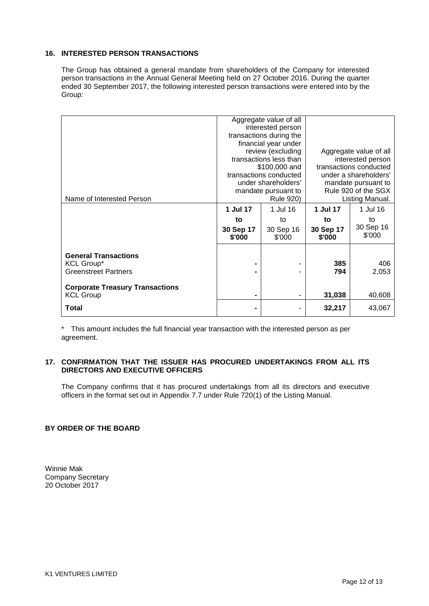#### **16. INTERESTED PERSON TRANSACTIONS**

The Group has obtained a general mandate from shareholders of the Company for interested person transactions in the Annual General Meeting held on 27 October 2016. During the quarter ended 30 September 2017, the following interested person transactions were entered into by the Group:

|                                                  | Aggregate value of all<br>interested person |           |                        |                        |
|--------------------------------------------------|---------------------------------------------|-----------|------------------------|------------------------|
|                                                  | transactions during the                     |           |                        |                        |
|                                                  | financial year under                        |           |                        |                        |
|                                                  | review (excluding                           |           |                        | Aggregate value of all |
|                                                  | transactions less than                      |           | interested person      |                        |
|                                                  | \$100,000 and                               |           | transactions conducted |                        |
|                                                  | transactions conducted                      |           | under a shareholders'  |                        |
|                                                  | under shareholders'                         |           | mandate pursuant to    |                        |
|                                                  | mandate pursuant to                         |           | Rule 920 of the SGX    |                        |
| Name of Interested Person                        | Rule 920)                                   |           | Listing Manual.        |                        |
|                                                  | 1 Jul 17                                    | 1 Jul 16  | 1 Jul 17               | 1 Jul 16               |
|                                                  | to                                          | to        | to                     | to                     |
|                                                  | 30 Sep 17                                   | 30 Sep 16 | 30 Sep 17              | 30 Sep 16              |
|                                                  | \$'000                                      | \$'000    | \$'000                 | \$'000                 |
|                                                  |                                             |           |                        |                        |
| <b>General Transactions</b>                      |                                             |           |                        |                        |
| <b>KCL Group*</b><br><b>Greenstreet Partners</b> |                                             |           | 385<br>794             | 406                    |
|                                                  |                                             |           |                        | 2,053                  |
| <b>Corporate Treasury Transactions</b>           |                                             |           |                        |                        |
| <b>KCL Group</b>                                 |                                             |           | 31,038                 | 40,608                 |
| Total                                            |                                             |           | 32,217                 | 43,067                 |

\* This amount includes the full financial year transaction with the interested person as per agreement.

#### **17. CONFIRMATION THAT THE ISSUER HAS PROCURED UNDERTAKINGS FROM ALL ITS DIRECTORS AND EXECUTIVE OFFICERS**

The Company confirms that it has procured undertakings from all its directors and executive officers in the format set out in Appendix 7.7 under Rule 720(1) of the Listing Manual.

### **BY ORDER OF THE BOARD**

Winnie Mak Company Secretary 20 October 2017